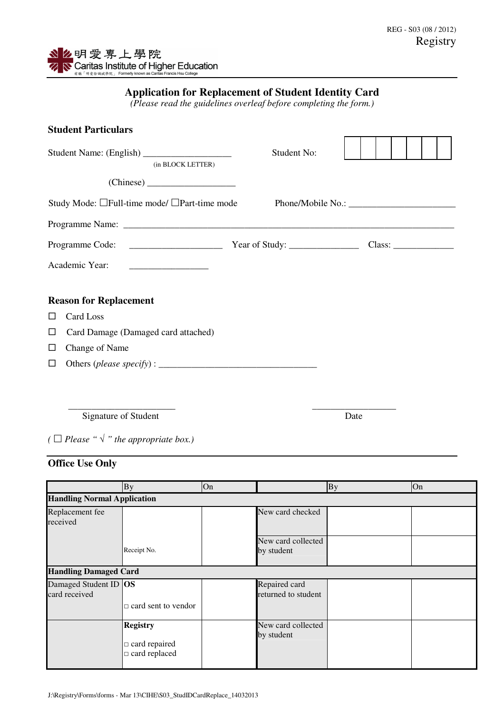## **Application for Replacement of Student Identity Card**

*(Please read the guidelines overleaf before completing the form.)* 

| <b>Student Particulars</b>                   |             |  |
|----------------------------------------------|-------------|--|
| (in BLOCK LETTER)                            | Student No: |  |
|                                              |             |  |
| Study Mode: □Full-time mode/ □Part-time mode |             |  |
|                                              |             |  |
|                                              |             |  |
| Academic Year:                               |             |  |
| <b>Reason for Replacement</b>                |             |  |
| Card Loss<br>ш                               |             |  |
| Card Damage (Damaged card attached)<br>ப     |             |  |
| Change of Name<br>ப                          |             |  |
| ш                                            |             |  |
|                                              |             |  |
|                                              |             |  |
|                                              |             |  |

Signature of Student Date

*(* $\Box$  *Please* " $\sqrt{\ }$ " *the appropriate box.)* 

## **Office Use Only**

|                                        | <b>By</b>                                                       | On |                                      | <b>By</b> | On |  |
|----------------------------------------|-----------------------------------------------------------------|----|--------------------------------------|-----------|----|--|
| <b>Handling Normal Application</b>     |                                                                 |    |                                      |           |    |  |
| Replacement fee<br>received            |                                                                 |    | New card checked                     |           |    |  |
|                                        | Receipt No.                                                     |    | New card collected<br>by student     |           |    |  |
| <b>Handling Damaged Card</b>           |                                                                 |    |                                      |           |    |  |
| Damaged Student ID OS<br>card received |                                                                 |    | Repaired card<br>returned to student |           |    |  |
|                                        | $\Box$ card sent to vendor                                      |    |                                      |           |    |  |
|                                        | <b>Registry</b><br>$\Box$ card repaired<br>$\Box$ card replaced |    | New card collected<br>by student     |           |    |  |